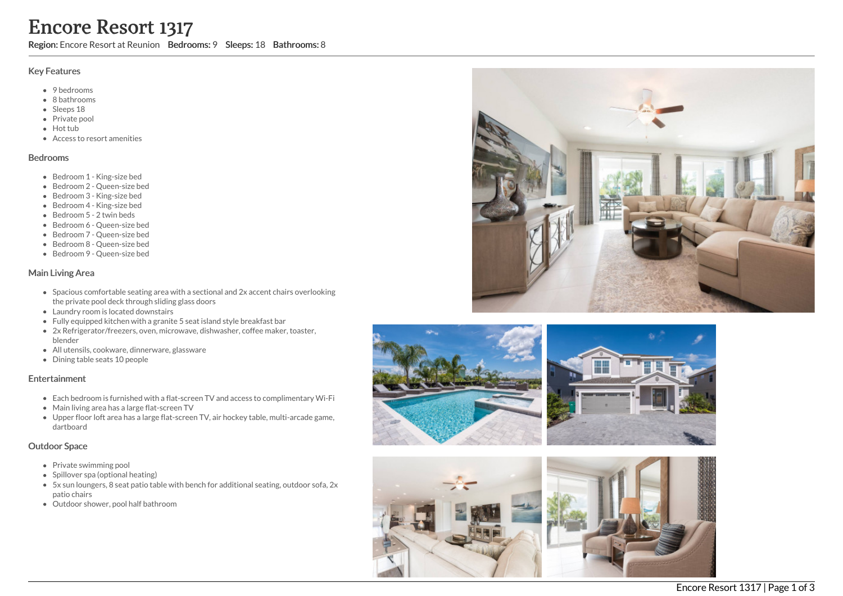# Encore Resort 1317

Region: Encore Resort at Reunion Bedrooms: 9 Sleeps: 18 Bathrooms: 8

### Key Features

- 9 bedrooms
- 8 bathrooms
- Sleeps 18
- Private pool
- Hot tub
- Access to resort amenities

#### Bedrooms

- Bedroom 1 King-size bed
- Bedroom 2 Queen-size bed
- Bedroom 3 King-size bed
- Bedroom 4 King-size bed
- $\bullet$  Bedroom 5 2 twin beds
- Bedroom 6 Queen-size bed
- Bedroom 7 Queen-size bed
- Bedroom 8 Queen-size bed
- Bedroom 9 Queen-size bed

# Main Living Area

- Spacious comfortable seating area with a sectional and 2x accent chairs overlooking the private pool deck through sliding glass doors
- Laundry room is located downstairs
- Fully equipped kitchen with a granite 5 seat island style breakfast bar
- 2x Refrigerator/freezers, oven, microwave, dishwasher, coffee maker, toaster, blender
- All utensils, cookware, dinnerware, glassware
- Dining table seats 10 people

## Entertainment

- Each bedroom is furnished with a flat-screen TV and access to complimentary Wi-Fi
- Main living area has a large flat-screen TV
- Upper floor loft area has a large flat-screen TV, air hockey table, multi-arcade game, dartboard

## Outdoor Space

- Private swimming pool
- Spillover spa (optional heating)
- 5x sun loungers, 8 seat patio table with bench for additional seating, outdoor sofa, 2x patio chairs
- Outdoor shower, pool half bathroom





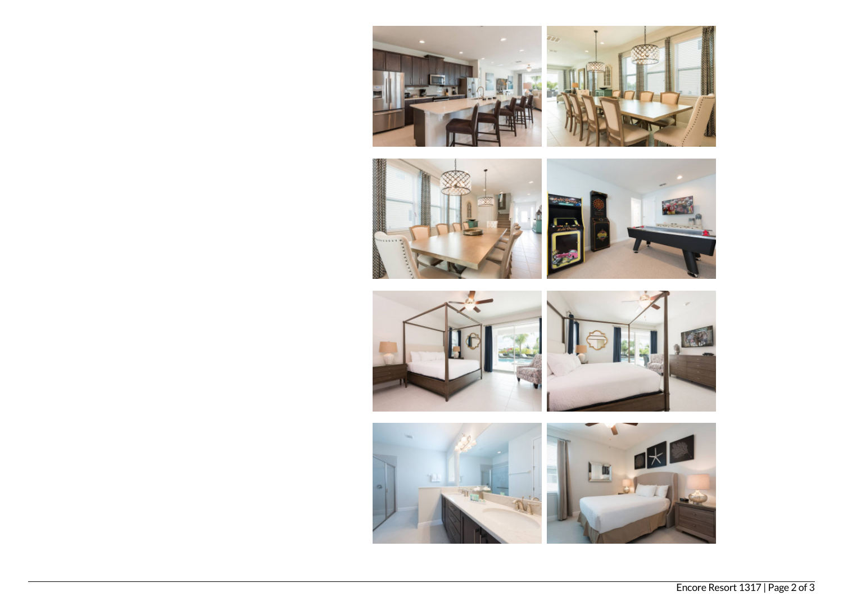